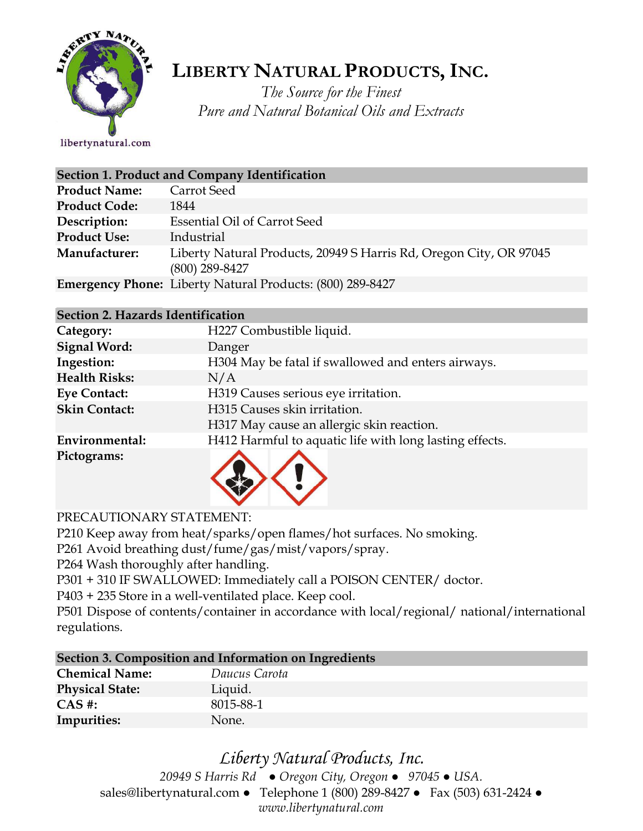

## **LIBERTY NATURAL PRODUCTS,INC.**

*The Source for the Finest Pure and Natural Botanical Oils and Extracts*

libertynatural.com

| Section 1. Product and Company Identification |                                                                                        |  |  |
|-----------------------------------------------|----------------------------------------------------------------------------------------|--|--|
| <b>Product Name:</b>                          | Carrot Seed                                                                            |  |  |
| <b>Product Code:</b>                          | 1844                                                                                   |  |  |
| Description:                                  | <b>Essential Oil of Carrot Seed</b>                                                    |  |  |
| <b>Product Use:</b>                           | Industrial                                                                             |  |  |
| Manufacturer:                                 | Liberty Natural Products, 20949 S Harris Rd, Oregon City, OR 97045<br>$(800)$ 289-8427 |  |  |
|                                               | <b>Emergency Phone:</b> Liberty Natural Products: (800) 289-8427                       |  |  |

## **Section 2. Hazards Identification**

| Category:            | H227 Combustible liquid.                                |
|----------------------|---------------------------------------------------------|
| <b>Signal Word:</b>  | Danger                                                  |
| Ingestion:           | H304 May be fatal if swallowed and enters airways.      |
| <b>Health Risks:</b> | N/A                                                     |
| <b>Eye Contact:</b>  | H319 Causes serious eye irritation.                     |
| <b>Skin Contact:</b> | H315 Causes skin irritation.                            |
|                      | H317 May cause an allergic skin reaction.               |
| Environmental:       | H412 Harmful to aquatic life with long lasting effects. |
| Pictograms:          |                                                         |

PRECAUTIONARY STATEMENT:

P210 Keep away from heat/sparks/open flames/hot surfaces. No smoking.

P261 Avoid breathing dust/fume/gas/mist/vapors/spray.

P264 Wash thoroughly after handling.

P301 + 310 IF SWALLOWED: Immediately call a POISON CENTER/ doctor.

P403 + 235 Store in a well-ventilated place. Keep cool.

P501 Dispose of contents/container in accordance with local/regional/ national/international regulations.

| Section 3. Composition and Information on Ingredients |               |  |  |
|-------------------------------------------------------|---------------|--|--|
| <b>Chemical Name:</b>                                 | Daucus Carota |  |  |
| <b>Physical State:</b>                                | Liquid.       |  |  |
| $CAS \#$ :                                            | 8015-88-1     |  |  |
| Impurities:                                           | None.         |  |  |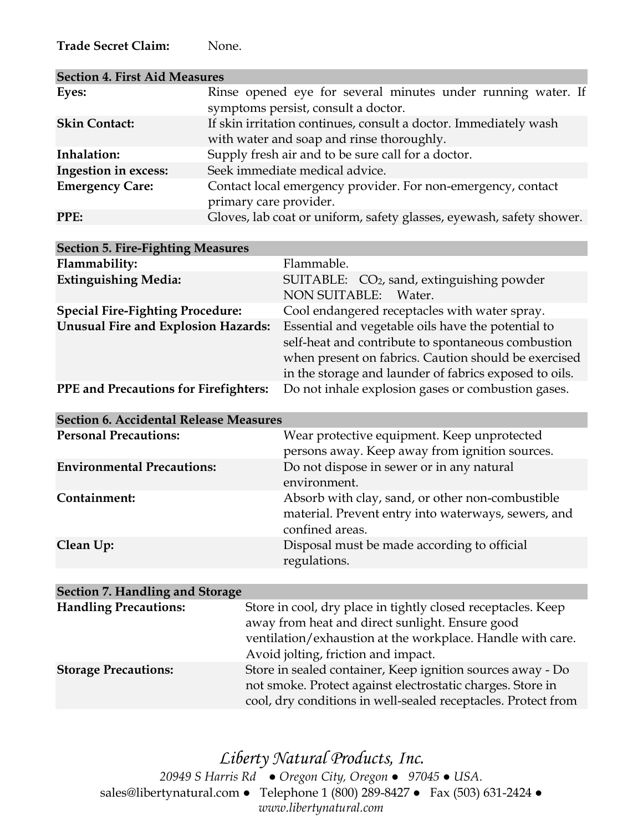**Trade Secret Claim:** None.

| <b>Section 4. First Aid Measures</b> |                                                                                                               |
|--------------------------------------|---------------------------------------------------------------------------------------------------------------|
| Eyes:                                | Rinse opened eye for several minutes under running water. If<br>symptoms persist, consult a doctor.           |
| <b>Skin Contact:</b>                 | If skin irritation continues, consult a doctor. Immediately wash<br>with water and soap and rinse thoroughly. |
| Inhalation:                          | Supply fresh air and to be sure call for a doctor.                                                            |
| Ingestion in excess:                 | Seek immediate medical advice.                                                                                |
| <b>Emergency Care:</b>               | Contact local emergency provider. For non-emergency, contact<br>primary care provider.                        |
| <b>PPE:</b>                          | Gloves, lab coat or uniform, safety glasses, eyewash, safety shower.                                          |

| <b>Section 5. Fire-Fighting Measures</b>                                                           |                                                                                                                                                                                                                            |
|----------------------------------------------------------------------------------------------------|----------------------------------------------------------------------------------------------------------------------------------------------------------------------------------------------------------------------------|
| Flammability:                                                                                      | Flammable.                                                                                                                                                                                                                 |
| <b>Extinguishing Media:</b>                                                                        | SUITABLE: $CO2$ , sand, extinguishing powder<br><b>NON SUITABLE:</b><br>Water.                                                                                                                                             |
| <b>Special Fire-Fighting Procedure:</b>                                                            | Cool endangered receptacles with water spray.                                                                                                                                                                              |
| <b>Unusual Fire and Explosion Hazards:</b>                                                         | Essential and vegetable oils have the potential to<br>self-heat and contribute to spontaneous combustion<br>when present on fabrics. Caution should be exercised<br>in the storage and launder of fabrics exposed to oils. |
| Do not inhale explosion gases or combustion gases.<br><b>PPE</b> and Precautions for Firefighters: |                                                                                                                                                                                                                            |

| <b>Section 6. Accidental Release Measures</b> |                                                                                                                            |  |  |
|-----------------------------------------------|----------------------------------------------------------------------------------------------------------------------------|--|--|
| <b>Personal Precautions:</b>                  | Wear protective equipment. Keep unprotected<br>persons away. Keep away from ignition sources.                              |  |  |
| <b>Environmental Precautions:</b>             | Do not dispose in sewer or in any natural<br>environment.                                                                  |  |  |
| Containment:                                  | Absorb with clay, sand, or other non-combustible<br>material. Prevent entry into waterways, sewers, and<br>confined areas. |  |  |
| Clean Up:                                     | Disposal must be made according to official<br>regulations.                                                                |  |  |

| Section 7. Handling and Storage |                                                                                                                                                                                                                      |
|---------------------------------|----------------------------------------------------------------------------------------------------------------------------------------------------------------------------------------------------------------------|
| <b>Handling Precautions:</b>    | Store in cool, dry place in tightly closed receptacles. Keep<br>away from heat and direct sunlight. Ensure good<br>ventilation/exhaustion at the workplace. Handle with care.<br>Avoid jolting, friction and impact. |
| <b>Storage Precautions:</b>     | Store in sealed container, Keep ignition sources away - Do<br>not smoke. Protect against electrostatic charges. Store in<br>cool, dry conditions in well-sealed receptacles. Protect from                            |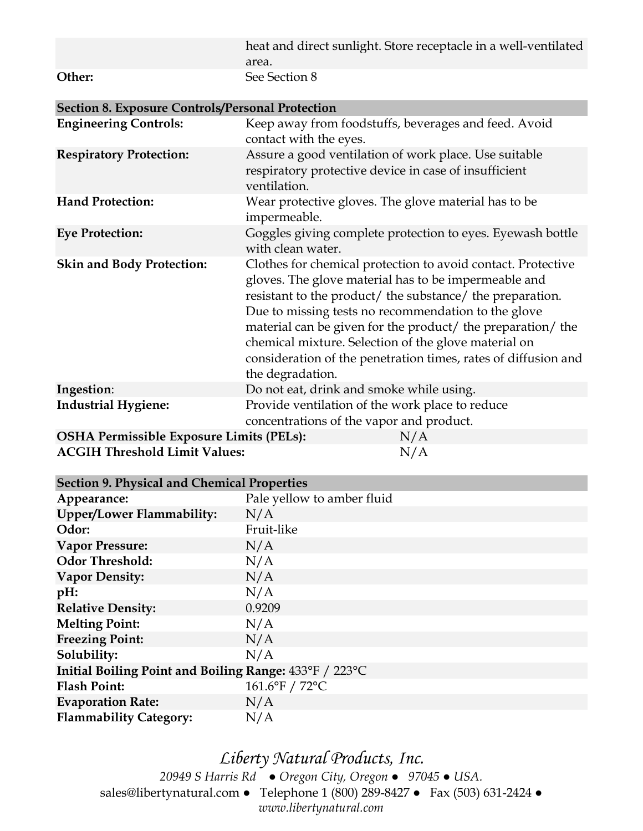|        | heat and direct sunlight. Store receptacle in a well-ventilated |
|--------|-----------------------------------------------------------------|
|        | area.                                                           |
| Other: | See Section 8                                                   |

| <b>Section 8. Exposure Controls/Personal Protection</b> |                                                                                                                                                                                                                                                                                                                                                                                                                                                       |  |  |  |
|---------------------------------------------------------|-------------------------------------------------------------------------------------------------------------------------------------------------------------------------------------------------------------------------------------------------------------------------------------------------------------------------------------------------------------------------------------------------------------------------------------------------------|--|--|--|
| <b>Engineering Controls:</b>                            | Keep away from foodstuffs, beverages and feed. Avoid<br>contact with the eyes.                                                                                                                                                                                                                                                                                                                                                                        |  |  |  |
| <b>Respiratory Protection:</b>                          | Assure a good ventilation of work place. Use suitable<br>respiratory protective device in case of insufficient<br>ventilation.                                                                                                                                                                                                                                                                                                                        |  |  |  |
| <b>Hand Protection:</b>                                 | Wear protective gloves. The glove material has to be<br>impermeable.                                                                                                                                                                                                                                                                                                                                                                                  |  |  |  |
| <b>Eye Protection:</b>                                  | Goggles giving complete protection to eyes. Eyewash bottle<br>with clean water.                                                                                                                                                                                                                                                                                                                                                                       |  |  |  |
| <b>Skin and Body Protection:</b>                        | Clothes for chemical protection to avoid contact. Protective<br>gloves. The glove material has to be impermeable and<br>resistant to the product/ the substance/ the preparation.<br>Due to missing tests no recommendation to the glove<br>material can be given for the product/ the preparation/ the<br>chemical mixture. Selection of the glove material on<br>consideration of the penetration times, rates of diffusion and<br>the degradation. |  |  |  |
| Ingestion:                                              | Do not eat, drink and smoke while using.                                                                                                                                                                                                                                                                                                                                                                                                              |  |  |  |
| <b>Industrial Hygiene:</b>                              | Provide ventilation of the work place to reduce<br>concentrations of the vapor and product.                                                                                                                                                                                                                                                                                                                                                           |  |  |  |
| <b>OSHA Permissible Exposure Limits (PELs):</b>         | N/A                                                                                                                                                                                                                                                                                                                                                                                                                                                   |  |  |  |
| <b>ACGIH Threshold Limit Values:</b>                    | N/A                                                                                                                                                                                                                                                                                                                                                                                                                                                   |  |  |  |

| <b>Section 9. Physical and Chemical Properties</b>     |                            |  |  |
|--------------------------------------------------------|----------------------------|--|--|
| Appearance:                                            | Pale yellow to amber fluid |  |  |
| Upper/Lower Flammability:                              | N/A                        |  |  |
| Odor:                                                  | Fruit-like                 |  |  |
| <b>Vapor Pressure:</b>                                 | N/A                        |  |  |
| <b>Odor Threshold:</b>                                 | N/A                        |  |  |
| <b>Vapor Density:</b>                                  | N/A                        |  |  |
| $pH$ :                                                 | N/A                        |  |  |
| <b>Relative Density:</b>                               | 0.9209                     |  |  |
| <b>Melting Point:</b>                                  | N/A                        |  |  |
| <b>Freezing Point:</b>                                 | N/A                        |  |  |
| Solubility:                                            | N/A                        |  |  |
| Initial Boiling Point and Boiling Range: 433°F / 223°C |                            |  |  |
| <b>Flash Point:</b>                                    | 161.6°F / 72°C             |  |  |
| <b>Evaporation Rate:</b>                               | N/A                        |  |  |
| <b>Flammability Category:</b>                          | N/A                        |  |  |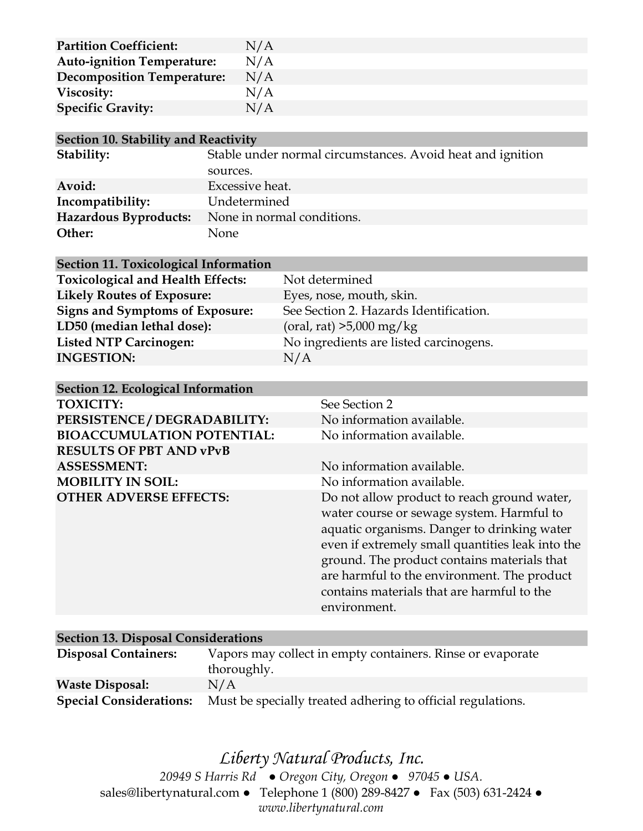| <b>Partition Coefficient:</b>     | N/A |
|-----------------------------------|-----|
| <b>Auto-ignition Temperature:</b> | N/A |
| <b>Decomposition Temperature:</b> | N/A |
| Viscosity:                        | N/A |
| <b>Specific Gravity:</b>          | N/A |

|  |  |  |  |  | <b>Section 10. Stability and Reactivity</b> |
|--|--|--|--|--|---------------------------------------------|
|--|--|--|--|--|---------------------------------------------|

| Stability:                   | Stable under normal circumstances. Avoid heat and ignition |
|------------------------------|------------------------------------------------------------|
|                              | sources.                                                   |
| Avoid:                       | Excessive heat.                                            |
| Incompatibility:             | Undetermined                                               |
| <b>Hazardous Byproducts:</b> | None in normal conditions.                                 |
| Other:                       | None                                                       |

| <b>Section 11. Toxicological Information</b> |                                        |
|----------------------------------------------|----------------------------------------|
| <b>Toxicological and Health Effects:</b>     | Not determined                         |
| <b>Likely Routes of Exposure:</b>            | Eyes, nose, mouth, skin.               |
| <b>Signs and Symptoms of Exposure:</b>       | See Section 2. Hazards Identification. |
| LD50 (median lethal dose):                   | (oral, rat) $>5,000$ mg/kg             |
| <b>Listed NTP Carcinogen:</b>                | No ingredients are listed carcinogens. |
| <b>INGESTION:</b>                            | N/A                                    |
|                                              |                                        |

| Section 12. Ecological Information |                                                  |  |
|------------------------------------|--------------------------------------------------|--|
| <b>TOXICITY:</b>                   | See Section 2                                    |  |
| PERSISTENCE / DEGRADABILITY:       | No information available.                        |  |
| <b>BIOACCUMULATION POTENTIAL:</b>  | No information available.                        |  |
| <b>RESULTS OF PBT AND vPvB</b>     |                                                  |  |
| <b>ASSESSMENT:</b>                 | No information available.                        |  |
| <b>MOBILITY IN SOIL:</b>           | No information available.                        |  |
| <b>OTHER ADVERSE EFFECTS:</b>      | Do not allow product to reach ground water,      |  |
|                                    | water course or sewage system. Harmful to        |  |
|                                    | aquatic organisms. Danger to drinking water      |  |
|                                    | even if extremely small quantities leak into the |  |
|                                    | ground. The product contains materials that      |  |
|                                    | are harmful to the environment. The product      |  |
|                                    | contains materials that are harmful to the       |  |
|                                    | environment.                                     |  |
|                                    |                                                  |  |

| <b>Section 13. Disposal Considerations</b> |                                                             |  |  |  |
|--------------------------------------------|-------------------------------------------------------------|--|--|--|
| <b>Disposal Containers:</b>                | Vapors may collect in empty containers. Rinse or evaporate  |  |  |  |
|                                            | thoroughly.                                                 |  |  |  |
| <b>Waste Disposal:</b>                     | N/A                                                         |  |  |  |
| <b>Special Considerations:</b>             | Must be specially treated adhering to official regulations. |  |  |  |